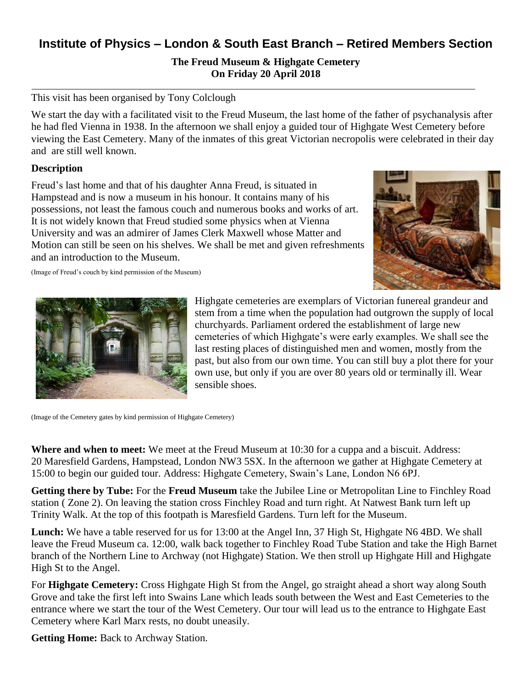# **Institute of Physics – London & South East Branch – Retired Members Section**

## **The Freud Museum & Highgate Cemetery On Friday 20 April 2018**

#### This visit has been organised by Tony Colclough

We start the day with a facilitated visit to the Freud Museum, the last home of the father of psychanalysis after he had fled Vienna in 1938. In the afternoon we shall enjoy a guided tour of Highgate West Cemetery before viewing the East Cemetery. Many of the inmates of this great Victorian necropolis were celebrated in their day and are still well known.

#### **Description**

Freud's last home and that of his daughter Anna Freud, is situated in Hampstead and is now a museum in his honour. It contains many of his possessions, not least the famous couch and numerous books and works of art. It is not widely known that Freud studied some physics when at Vienna University and was an admirer of James Clerk Maxwell whose Matter and Motion can still be seen on his shelves. We shall be met and given refreshments and an introduction to the Museum.







Highgate cemeteries are exemplars of Victorian funereal grandeur and stem from a time when the population had outgrown the supply of local churchyards. Parliament ordered the establishment of large new cemeteries of which Highgate's were early examples. We shall see the last resting places of distinguished men and women, mostly from the past, but also from our own time. You can still buy a plot there for your own use, but only if you are over 80 years old or terminally ill. Wear sensible shoes.

(Image of the Cemetery gates by kind permission of Highgate Cemetery)

**Where and when to meet:** We meet at the Freud Museum at 10:30 for a cuppa and a biscuit. Address: 20 Maresfield Gardens, Hampstead, London NW3 5SX. In the afternoon we gather at Highgate Cemetery at 15:00 to begin our guided tour. Address: Highgate Cemetery, Swain's Lane, London N6 6PJ.

**Getting there by Tube:** For the **Freud Museum** take the Jubilee Line or Metropolitan Line to Finchley Road station ( Zone 2). On leaving the station cross Finchley Road and turn right. At Natwest Bank turn left up Trinity Walk. At the top of this footpath is Maresfield Gardens. Turn left for the Museum.

Lunch: We have a table reserved for us for 13:00 at the Angel Inn, 37 High St, Highgate N6 4BD. We shall leave the Freud Museum ca. 12:00, walk back together to Finchley Road Tube Station and take the High Barnet branch of the Northern Line to Archway (not Highgate) Station. We then stroll up Highgate Hill and Highgate High St to the Angel.

For **Highgate Cemetery:** Cross Highgate High St from the Angel, go straight ahead a short way along South Grove and take the first left into Swains Lane which leads south between the West and East Cemeteries to the entrance where we start the tour of the West Cemetery. Our tour will lead us to the entrance to Highgate East Cemetery where Karl Marx rests, no doubt uneasily.

**Getting Home:** Back to Archway Station.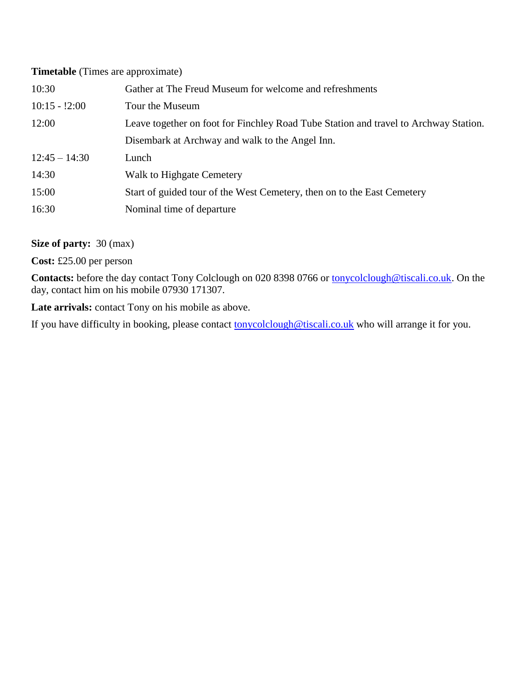#### **Timetable** (Times are approximate)

| 10:30           | Gather at The Freud Museum for welcome and refreshments                              |
|-----------------|--------------------------------------------------------------------------------------|
| $10:15 - 2:00$  | Tour the Museum                                                                      |
| 12:00           | Leave together on foot for Finchley Road Tube Station and travel to Archway Station. |
|                 | Disembark at Archway and walk to the Angel Inn.                                      |
| $12:45 - 14:30$ | Lunch                                                                                |
| 14:30           | Walk to Highgate Cemetery                                                            |
| 15:00           | Start of guided tour of the West Cemetery, then on to the East Cemetery              |
| 16:30           | Nominal time of departure.                                                           |

### **Size of party:** 30 (max)

**Cost:** £25.00 per person

Contacts: before the day contact Tony Colclough on 020 8398 0766 or [tonycolclough@tiscali.co.uk.](mailto:tonycolclough@tiscali.co.uk) On the day, contact him on his mobile 07930 171307.

Late arrivals: contact Tony on his mobile as above.

If you have difficulty in booking, please contact **tonycolclough@tiscali.co.uk** who will arrange it for you.